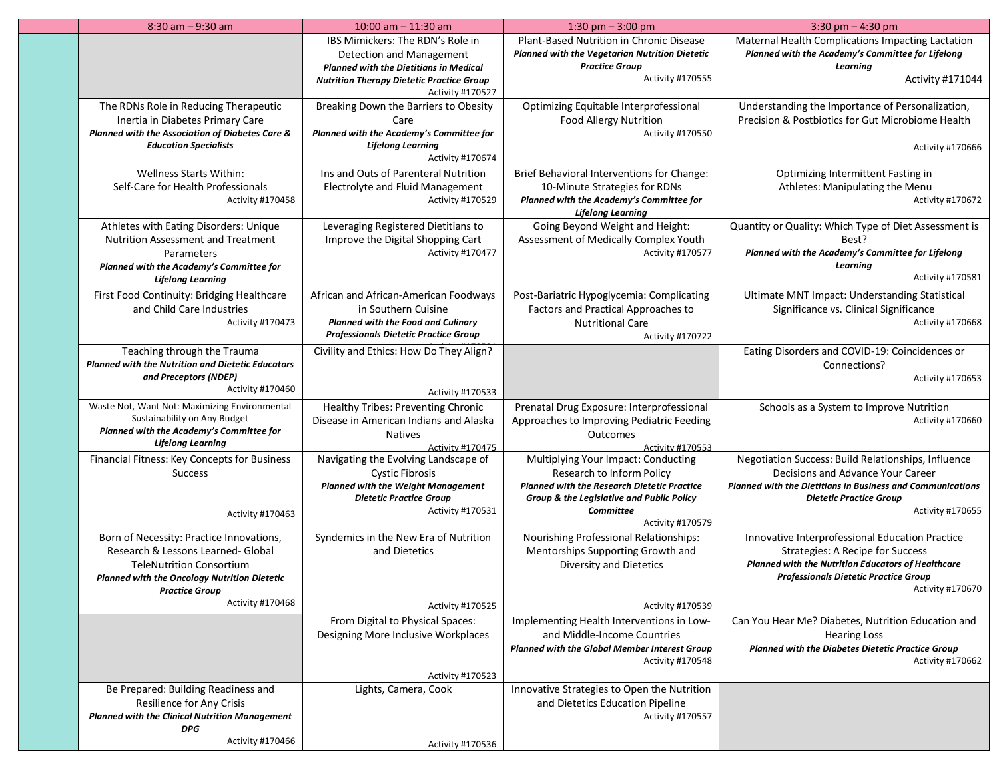| $8:30$ am $-9:30$ am                                                                                                                                                                                                  | 10:00 am $-$ 11:30 am                                                                                                                                                                 | 1:30 pm $-$ 3:00 pm                                                                                                                                                                                         | 3:30 pm $-$ 4:30 pm                                                                                                                                                                                                  |
|-----------------------------------------------------------------------------------------------------------------------------------------------------------------------------------------------------------------------|---------------------------------------------------------------------------------------------------------------------------------------------------------------------------------------|-------------------------------------------------------------------------------------------------------------------------------------------------------------------------------------------------------------|----------------------------------------------------------------------------------------------------------------------------------------------------------------------------------------------------------------------|
|                                                                                                                                                                                                                       | IBS Mimickers: The RDN's Role in<br>Detection and Management<br><b>Planned with the Dietitians in Medical</b><br><b>Nutrition Therapy Dietetic Practice Group</b><br>Activity #170527 | Plant-Based Nutrition in Chronic Disease<br>Planned with the Vegetarian Nutrition Dietetic<br><b>Practice Group</b><br>Activity #170555                                                                     | Maternal Health Complications Impacting Lactation<br>Planned with the Academy's Committee for Lifelong<br>Learning<br>Activity #171044                                                                               |
| The RDNs Role in Reducing Therapeutic<br>Inertia in Diabetes Primary Care<br>Planned with the Association of Diabetes Care &<br><b>Education Specialists</b>                                                          | Breaking Down the Barriers to Obesity<br>Care<br>Planned with the Academy's Committee for<br><b>Lifelong Learning</b><br>Activity #170674                                             | Optimizing Equitable Interprofessional<br><b>Food Allergy Nutrition</b><br>Activity #170550                                                                                                                 | Understanding the Importance of Personalization,<br>Precision & Postbiotics for Gut Microbiome Health<br>Activity #170666                                                                                            |
| Wellness Starts Within:<br>Self-Care for Health Professionals<br>Activity #170458                                                                                                                                     | Ins and Outs of Parenteral Nutrition<br>Electrolyte and Fluid Management<br>Activity #170529                                                                                          | Brief Behavioral Interventions for Change:<br>10-Minute Strategies for RDNs<br>Planned with the Academy's Committee for<br><b>Lifelong Learning</b>                                                         | Optimizing Intermittent Fasting in<br>Athletes: Manipulating the Menu<br>Activity #170672                                                                                                                            |
| Athletes with Eating Disorders: Unique<br><b>Nutrition Assessment and Treatment</b><br>Parameters<br>Planned with the Academy's Committee for<br><b>Lifelong Learning</b>                                             | Leveraging Registered Dietitians to<br>Improve the Digital Shopping Cart<br>Activity #170477                                                                                          | Going Beyond Weight and Height:<br>Assessment of Medically Complex Youth<br>Activity #170577                                                                                                                | Quantity or Quality: Which Type of Diet Assessment is<br>Best?<br>Planned with the Academy's Committee for Lifelong<br>Learnina<br>Activity #170581                                                                  |
| First Food Continuity: Bridging Healthcare<br>and Child Care Industries<br>Activity #170473                                                                                                                           | African and African-American Foodways<br>in Southern Cuisine<br><b>Planned with the Food and Culinary</b><br><b>Professionals Dietetic Practice Group</b>                             | Post-Bariatric Hypoglycemia: Complicating<br>Factors and Practical Approaches to<br><b>Nutritional Care</b><br>Activity #170722                                                                             | Ultimate MNT Impact: Understanding Statistical<br>Significance vs. Clinical Significance<br>Activity #170668                                                                                                         |
| Teaching through the Trauma<br><b>Planned with the Nutrition and Dietetic Educators</b><br>and Preceptors (NDEP)<br>Activity #170460                                                                                  | Civility and Ethics: How Do They Align?<br>Activity #170533                                                                                                                           |                                                                                                                                                                                                             | Eating Disorders and COVID-19: Coincidences or<br>Connections?<br>Activity #170653                                                                                                                                   |
| Waste Not, Want Not: Maximizing Environmental<br>Sustainability on Any Budget<br>Planned with the Academy's Committee for<br><b>Lifelong Learning</b>                                                                 | Healthy Tribes: Preventing Chronic<br>Disease in American Indians and Alaska<br><b>Natives</b><br>Activity #170475                                                                    | Prenatal Drug Exposure: Interprofessional<br>Approaches to Improving Pediatric Feeding<br>Outcomes<br>Activity #170553                                                                                      | Schools as a System to Improve Nutrition<br>Activity #170660                                                                                                                                                         |
| Financial Fitness: Key Concepts for Business<br><b>Success</b><br>Activity #170463                                                                                                                                    | Navigating the Evolving Landscape of<br><b>Cystic Fibrosis</b><br><b>Planned with the Weight Management</b><br><b>Dietetic Practice Group</b><br>Activity #170531                     | Multiplying Your Impact: Conducting<br>Research to Inform Policy<br><b>Planned with the Research Dietetic Practice</b><br>Group & the Legislative and Public Policy<br><b>Committee</b><br>Activity #170579 | Negotiation Success: Build Relationships, Influence<br>Decisions and Advance Your Career<br><b>Planned with the Dietitians in Business and Communications</b><br><b>Dietetic Practice Group</b><br>Activity #170655  |
| Born of Necessity: Practice Innovations,<br>Research & Lessons Learned- Global<br><b>TeleNutrition Consortium</b><br><b>Planned with the Oncology Nutrition Dietetic</b><br><b>Practice Group</b><br>Activity #170468 | Syndemics in the New Era of Nutrition<br>and Dietetics<br>Activity #170525                                                                                                            | <b>Nourishing Professional Relationships:</b><br>Mentorships Supporting Growth and<br>Diversity and Dietetics<br>Activity #170539                                                                           | Innovative Interprofessional Education Practice<br><b>Strategies: A Recipe for Success</b><br>Planned with the Nutrition Educators of Healthcare<br><b>Professionals Dietetic Practice Group</b><br>Activity #170670 |
|                                                                                                                                                                                                                       | From Digital to Physical Spaces:<br>Designing More Inclusive Workplaces<br>Activity #170523                                                                                           | Implementing Health Interventions in Low-<br>and Middle-Income Countries<br>Planned with the Global Member Interest Group<br>Activity #170548                                                               | Can You Hear Me? Diabetes, Nutrition Education and<br><b>Hearing Loss</b><br>Planned with the Diabetes Dietetic Practice Group<br>Activity #170662                                                                   |
| Be Prepared: Building Readiness and<br>Resilience for Any Crisis<br><b>Planned with the Clinical Nutrition Management</b><br><b>DPG</b><br>Activity #170466                                                           | Lights, Camera, Cook<br>Activity #170536                                                                                                                                              | Innovative Strategies to Open the Nutrition<br>and Dietetics Education Pipeline<br>Activity #170557                                                                                                         |                                                                                                                                                                                                                      |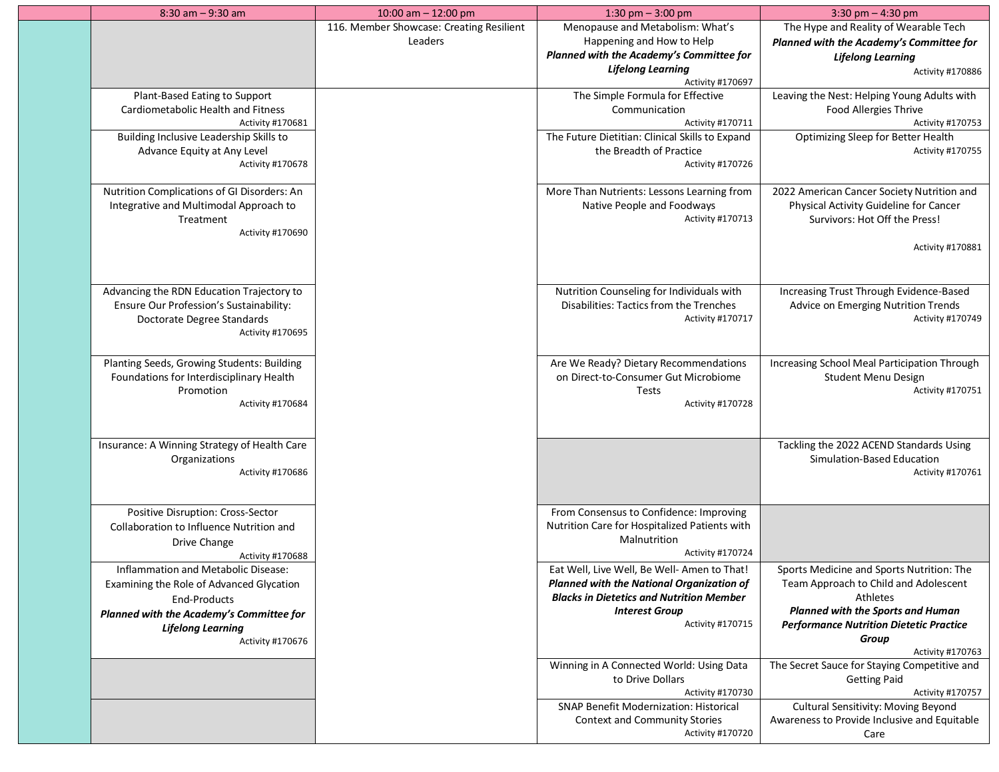| $8:30$ am $-9:30$ am                                                                                                                                                                        | 10:00 am $-$ 12:00 pm                               | 1:30 pm $-$ 3:00 pm                                                                                                                                                                             | 3:30 pm $-$ 4:30 pm                                                                                                                                                                                                |
|---------------------------------------------------------------------------------------------------------------------------------------------------------------------------------------------|-----------------------------------------------------|-------------------------------------------------------------------------------------------------------------------------------------------------------------------------------------------------|--------------------------------------------------------------------------------------------------------------------------------------------------------------------------------------------------------------------|
|                                                                                                                                                                                             | 116. Member Showcase: Creating Resilient<br>Leaders | Menopause and Metabolism: What's<br>Happening and How to Help<br>Planned with the Academy's Committee for<br><b>Lifelong Learning</b><br>Activity #170697                                       | The Hype and Reality of Wearable Tech<br>Planned with the Academy's Committee for<br><b>Lifelong Learning</b><br>Activity #170886                                                                                  |
| Plant-Based Eating to Support<br>Cardiometabolic Health and Fitness<br>Activity #170681<br>Building Inclusive Leadership Skills to<br>Advance Equity at Any Level                           |                                                     | The Simple Formula for Effective<br>Communication<br>Activity #170711<br>The Future Dietitian: Clinical Skills to Expand<br>the Breadth of Practice                                             | Leaving the Nest: Helping Young Adults with<br>Food Allergies Thrive<br>Activity #170753<br>Optimizing Sleep for Better Health<br>Activity #170755                                                                 |
| Activity #170678<br>Nutrition Complications of GI Disorders: An<br>Integrative and Multimodal Approach to<br>Treatment<br>Activity #170690                                                  |                                                     | Activity #170726<br>More Than Nutrients: Lessons Learning from<br>Native People and Foodways<br>Activity #170713                                                                                | 2022 American Cancer Society Nutrition and<br>Physical Activity Guideline for Cancer<br>Survivors: Hot Off the Press!<br>Activity #170881                                                                          |
| Advancing the RDN Education Trajectory to<br>Ensure Our Profession's Sustainability:<br>Doctorate Degree Standards<br>Activity #170695                                                      |                                                     | Nutrition Counseling for Individuals with<br>Disabilities: Tactics from the Trenches<br>Activity #170717                                                                                        | Increasing Trust Through Evidence-Based<br>Advice on Emerging Nutrition Trends<br>Activity #170749                                                                                                                 |
| Planting Seeds, Growing Students: Building<br>Foundations for Interdisciplinary Health<br>Promotion<br>Activity #170684                                                                     |                                                     | Are We Ready? Dietary Recommendations<br>on Direct-to-Consumer Gut Microbiome<br>Tests<br>Activity #170728                                                                                      | Increasing School Meal Participation Through<br><b>Student Menu Design</b><br>Activity #170751                                                                                                                     |
| Insurance: A Winning Strategy of Health Care<br>Organizations<br>Activity #170686                                                                                                           |                                                     |                                                                                                                                                                                                 | Tackling the 2022 ACEND Standards Using<br>Simulation-Based Education<br>Activity #170761                                                                                                                          |
| Positive Disruption: Cross-Sector<br>Collaboration to Influence Nutrition and<br>Drive Change<br>Activity #170688                                                                           |                                                     | From Consensus to Confidence: Improving<br>Nutrition Care for Hospitalized Patients with<br>Malnutrition<br>Activity #170724                                                                    |                                                                                                                                                                                                                    |
| Inflammation and Metabolic Disease:<br>Examining the Role of Advanced Glycation<br>End-Products<br>Planned with the Academy's Committee for<br><b>Lifelong Learning</b><br>Activity #170676 |                                                     | Eat Well, Live Well, Be Well- Amen to That!<br><b>Planned with the National Organization of</b><br><b>Blacks in Dietetics and Nutrition Member</b><br><b>Interest Group</b><br>Activity #170715 | Sports Medicine and Sports Nutrition: The<br>Team Approach to Child and Adolescent<br>Athletes<br>Planned with the Sports and Human<br><b>Performance Nutrition Dietetic Practice</b><br>Group<br>Activity #170763 |
|                                                                                                                                                                                             |                                                     | Winning in A Connected World: Using Data<br>to Drive Dollars<br>Activity #170730<br><b>SNAP Benefit Modernization: Historical</b>                                                               | The Secret Sauce for Staying Competitive and<br><b>Getting Paid</b><br>Activity #170757<br>Cultural Sensitivity: Moving Beyond                                                                                     |
|                                                                                                                                                                                             |                                                     | <b>Context and Community Stories</b><br>Activity #170720                                                                                                                                        | Awareness to Provide Inclusive and Equitable<br>Care                                                                                                                                                               |